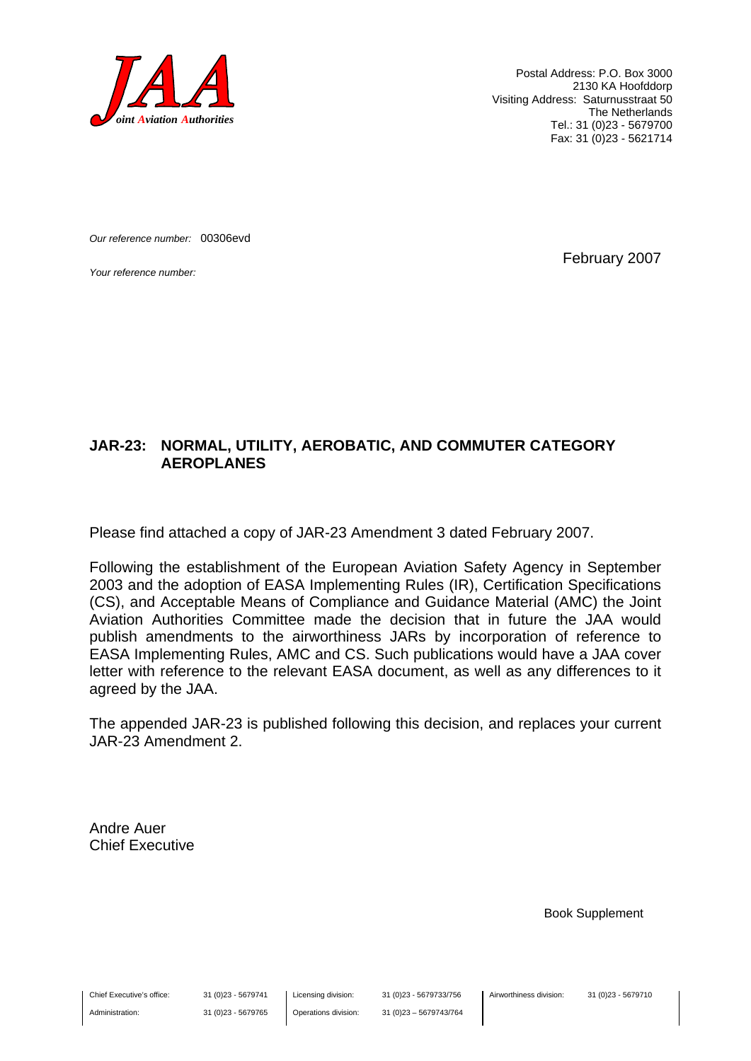

Postal Address: P.O. Box 3000 2130 KA Hoofddorp Visiting Address: Saturnusstraat 50 The Netherlands Tel.: 31 (0)23 - 5679700 Fax: 31 (0)23 - 5621714

*Our reference number:* 00306evd

*Your reference number:* February 2007

#### **JAR-23: NORMAL, UTILITY, AEROBATIC, AND COMMUTER CATEGORY AEROPLANES**

Please find attached a copy of JAR-23 Amendment 3 dated February 2007.

Following the establishment of the European Aviation Safety Agency in September 2003 and the adoption of EASA Implementing Rules (IR), Certification Specifications (CS), and Acceptable Means of Compliance and Guidance Material (AMC) the Joint Aviation Authorities Committee made the decision that in future the JAA would publish amendments to the airworthiness JARs by incorporation of reference to EASA Implementing Rules, AMC and CS. Such publications would have a JAA cover letter with reference to the relevant EASA document, as well as any differences to it agreed by the JAA.

The appended JAR-23 is published following this decision, and replaces your current JAR-23 Amendment 2.

Andre Auer Chief Executive

Book Supplement

Chief Executive's office:

Administration:

31 (0)23 - 5679741 31 (0)23 - 5679765 Licensing division: Operations division: 31 (0)23 - 5679733/756 31 (0)23 – 5679743/764 Airworthiness division: 31 (0)23 - 5679710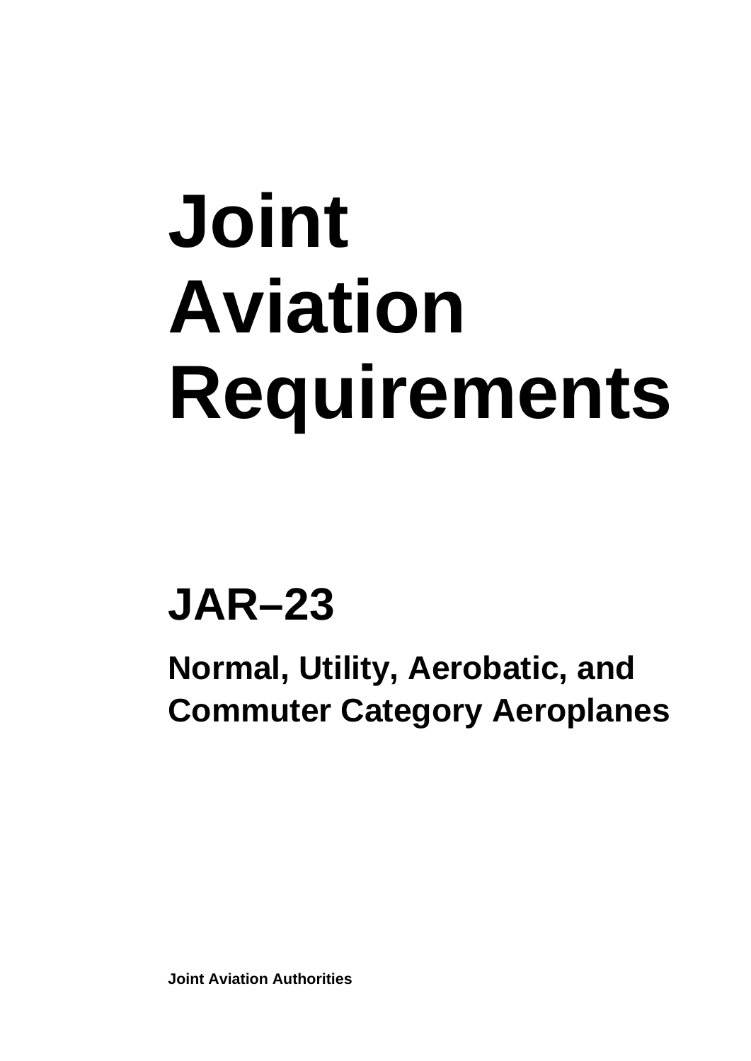# **Joint Aviation Requirements**

## **JAR–23**

**Normal, Utility, Aerobatic, and Commuter Category Aeroplanes** 

**Joint Aviation Authorities**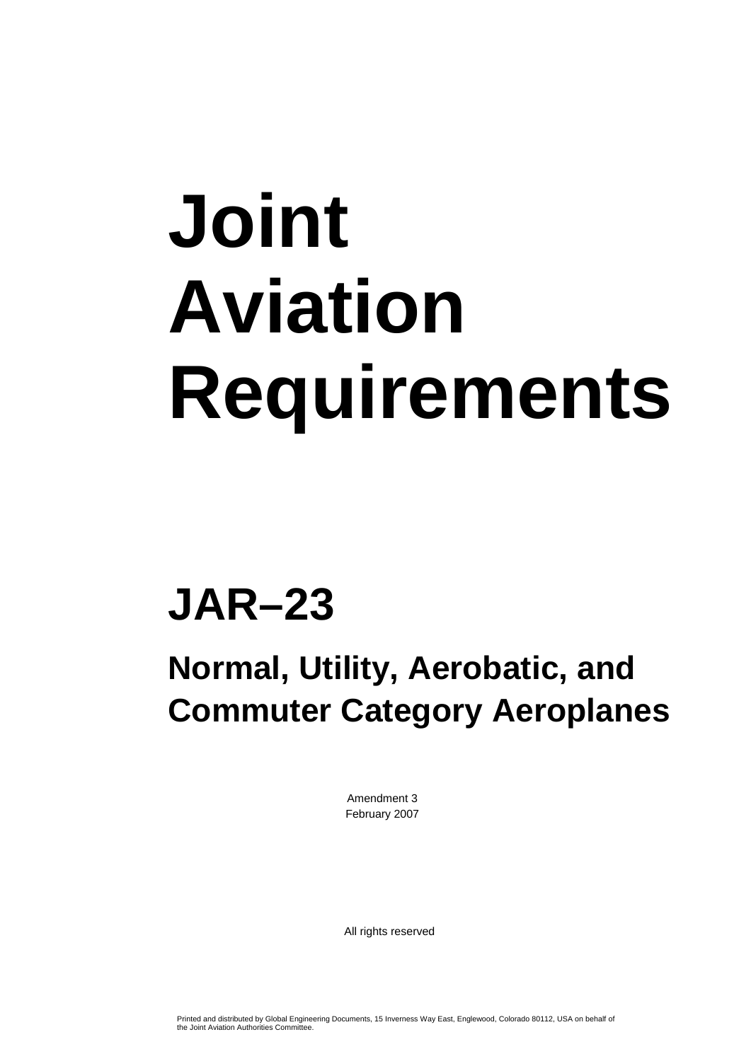# **Joint Aviation Requirements**

## **JAR–23**

### **Normal, Utility, Aerobatic, and Commuter Category Aeroplanes**

Amendment 3 February 2007

All rights reserved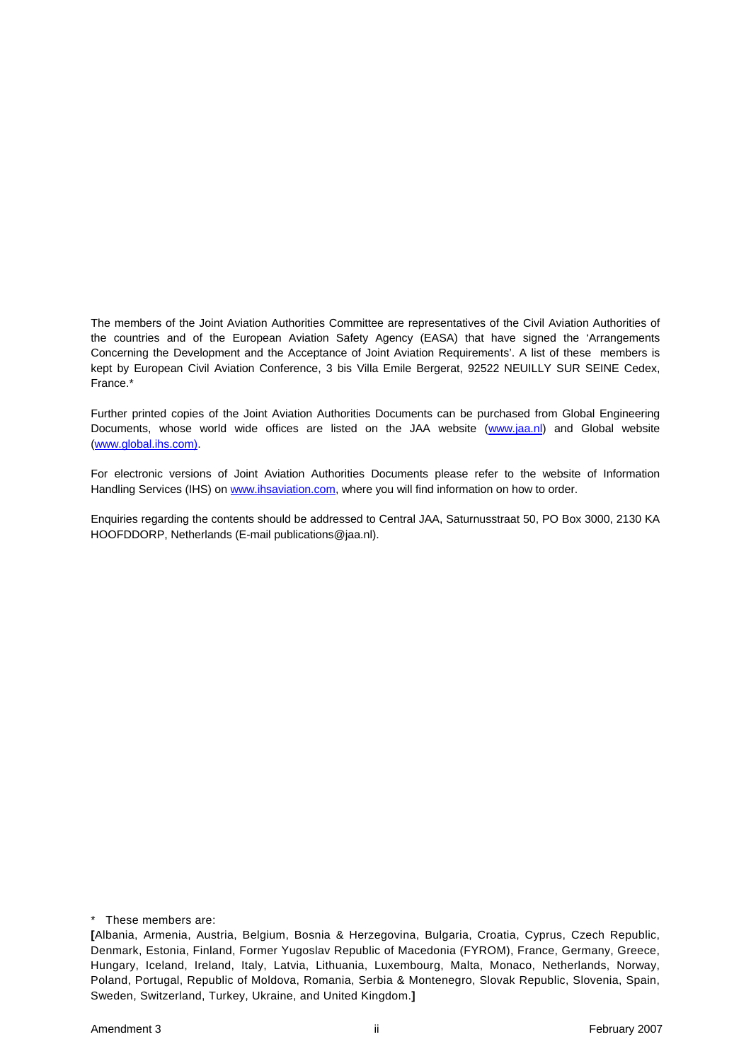The members of the Joint Aviation Authorities Committee are representatives of the Civil Aviation Authorities of the countries and of the European Aviation Safety Agency (EASA) that have signed the 'Arrangements Concerning the Development and the Acceptance of Joint Aviation Requirements'. A list of these members is kept by European Civil Aviation Conference, 3 bis Villa Emile Bergerat, 92522 NEUILLY SUR SEINE Cedex, France.\*

Further printed copies of the Joint Aviation Authorities Documents can be purchased from Global Engineering Documents, whose world wide offices are listed on the JAA website [\(www.jaa.nl](http://www.jaa.nl/)) and Global website ([www.global.ihs.com\).](http://www.global.ihs.com)/)

For electronic versions of Joint Aviation Authorities Documents please refer to the website of Information Handling Services (IHS) on [www.ihsaviation.com](http://www.ihsaviation.com/), where you will find information on how to order.

Enquiries regarding the contents should be addressed to Central JAA, Saturnusstraat 50, PO Box 3000, 2130 KA HOOFDDORP, Netherlands (E-mail publications@jaa.nl).

\* These members are:

**<sup>[</sup>**Albania, Armenia, Austria, Belgium, Bosnia & Herzegovina, Bulgaria, Croatia, Cyprus, Czech Republic, Denmark, Estonia, Finland, Former Yugoslav Republic of Macedonia (FYROM), France, Germany, Greece, Hungary, Iceland, Ireland, Italy, Latvia, Lithuania, Luxembourg, Malta, Monaco, Netherlands, Norway, Poland, Portugal, Republic of Moldova, Romania, Serbia & Montenegro, Slovak Republic, Slovenia, Spain, Sweden, Switzerland, Turkey, Ukraine, and United Kingdom.**]**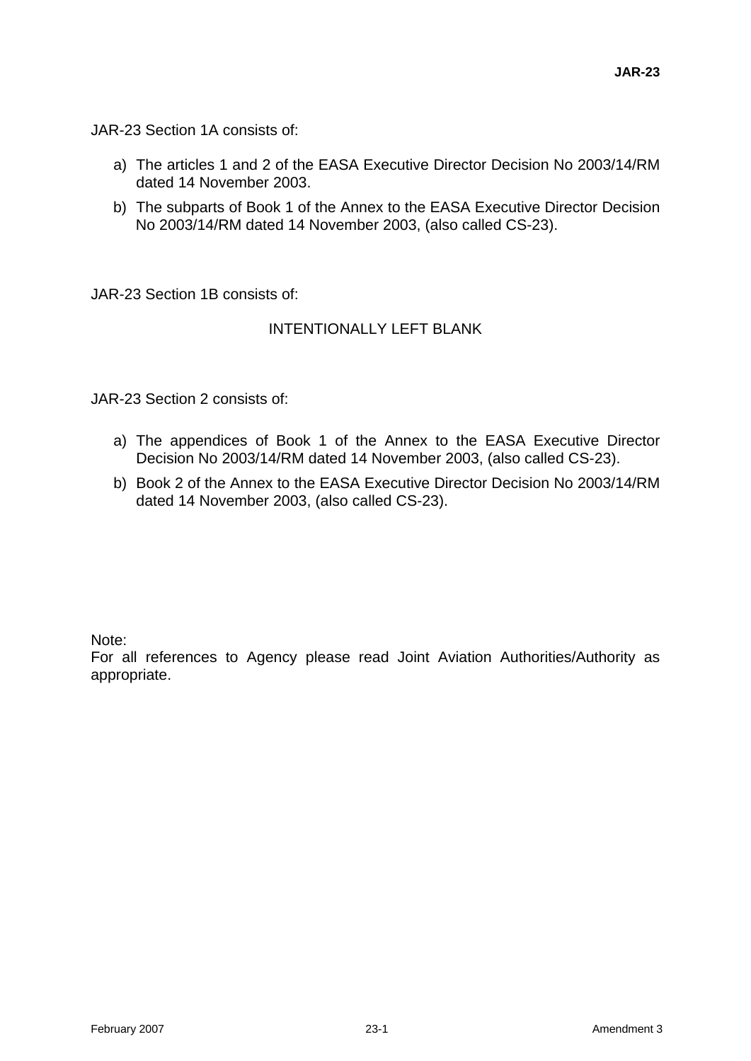JAR-23 Section 1A consists of:

- a) The articles 1 and 2 of the EASA Executive Director Decision No 2003/14/RM dated 14 November 2003.
- b) The subparts of Book 1 of the Annex to the EASA Executive Director Decision No 2003/14/RM dated 14 November 2003, (also called CS-23).

JAR-23 Section 1B consists of:

#### INTENTIONALLY LEFT BLANK

JAR-23 Section 2 consists of:

- a) The appendices of Book 1 of the Annex to the EASA Executive Director Decision No 2003/14/RM dated 14 November 2003, (also called CS-23).
- b) Book 2 of the Annex to the EASA Executive Director Decision No 2003/14/RM dated 14 November 2003, (also called CS-23).

Note:

For all references to Agency please read Joint Aviation Authorities/Authority as appropriate.